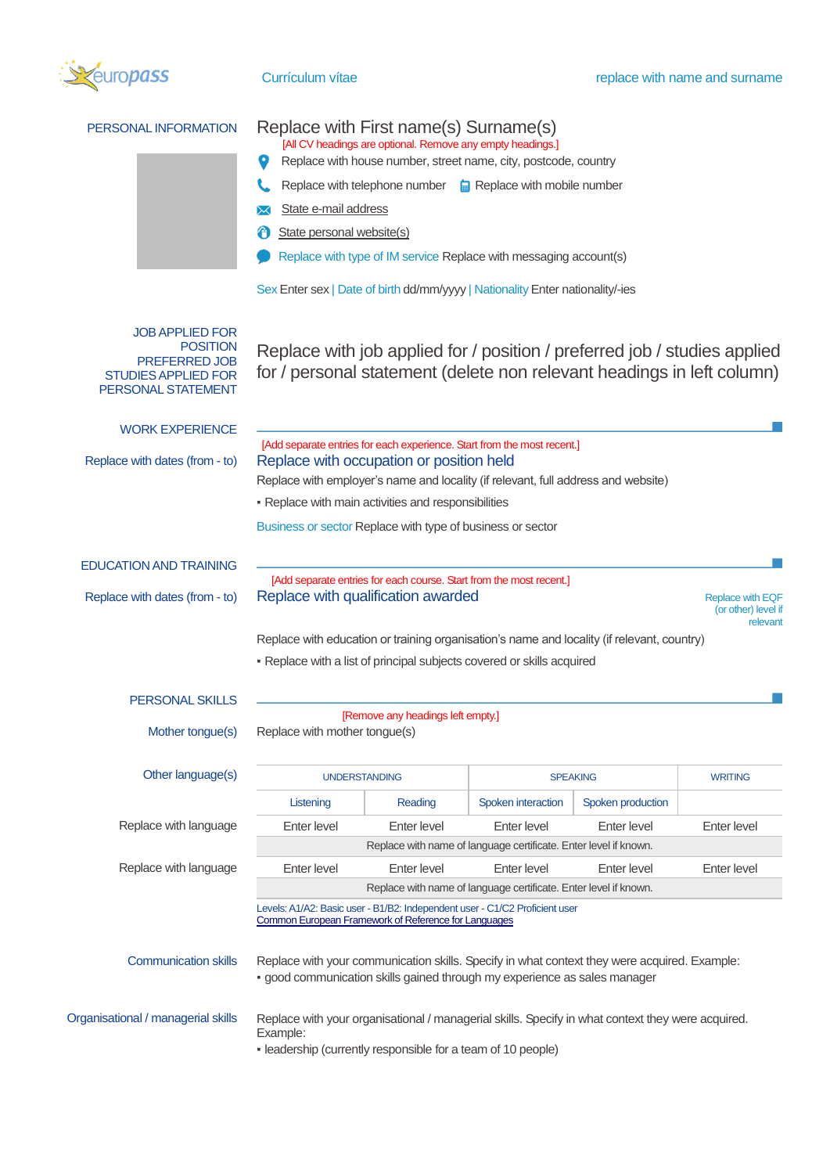

# PERSONAL INFORMATION Replace with First name(s) Surname(s) [All CV headings are optional. Remove any empty headings.] Replace with house number, street name, city, postcode, country Replace with telephone number  $\Box$  Replace with mobile number **X** State e-mail address **f** State personal website(s)

Replace with type of IM service Replace with messaging account(s)

Sex Enter sex | Date of birth dd/mm/yyyy | Nationality Enter nationality/-ies

#### JOB APPLIED FOR POSITION PREFERRED JOB STUDIES APPLIED FOR PERSONAL STATEMENT

Replace with job applied for / position / preferred job / studies applied for / personal statement (delete non relevant headings in left column)

| <b>WORK EXPERIENCE</b>             |                                                                                                                                                                               |             |                    |                   |                |  |  |
|------------------------------------|-------------------------------------------------------------------------------------------------------------------------------------------------------------------------------|-------------|--------------------|-------------------|----------------|--|--|
| Replace with dates (from - to)     | [Add separate entries for each experience. Start from the most recent.]<br>Replace with occupation or position held                                                           |             |                    |                   |                |  |  |
|                                    | Replace with employer's name and locality (if relevant, full address and website)                                                                                             |             |                    |                   |                |  |  |
|                                    | - Replace with main activities and responsibilities                                                                                                                           |             |                    |                   |                |  |  |
|                                    | Business or sector Replace with type of business or sector                                                                                                                    |             |                    |                   |                |  |  |
| EDUCATION AND TRAINING             |                                                                                                                                                                               |             |                    |                   |                |  |  |
| Replace with dates (from - to)     | [Add separate entries for each course. Start from the most recent.]<br>Replace with qualification awarded<br><b>Replace with EQF</b><br>(or other) level if<br>relevant       |             |                    |                   |                |  |  |
|                                    | Replace with education or training organisation's name and locality (if relevant, country)                                                                                    |             |                    |                   |                |  |  |
|                                    | - Replace with a list of principal subjects covered or skills acquired                                                                                                        |             |                    |                   |                |  |  |
| PERSONAL SKILLS                    |                                                                                                                                                                               |             |                    |                   |                |  |  |
| Mother tongue(s)                   | [Remove any headings left empty.]<br>Replace with mother tongue(s)                                                                                                            |             |                    |                   |                |  |  |
| Other language(s)                  | <b>UNDERSTANDING</b>                                                                                                                                                          |             | <b>SPEAKING</b>    |                   | <b>WRITING</b> |  |  |
|                                    | Listening                                                                                                                                                                     | Reading     | Spoken interaction | Spoken production |                |  |  |
| Replace with language              | Enter level                                                                                                                                                                   | Enter level | Enter level        | Enter level       | Enter level    |  |  |
|                                    | Replace with name of language certificate. Enter level if known.                                                                                                              |             |                    |                   |                |  |  |
| Replace with language              | Enter level                                                                                                                                                                   | Enter level | Enter level        | Enter level       | Enter level    |  |  |
|                                    | Replace with name of language certificate. Enter level if known.                                                                                                              |             |                    |                   |                |  |  |
|                                    | Levels: A1/A2: Basic user - B1/B2: Independent user - C1/C2 Proficient user<br>Common European Framework of Reference for Languages                                           |             |                    |                   |                |  |  |
| <b>Communication skills</b>        | Replace with your communication skills. Specify in what context they were acquired. Example:<br>· good communication skills gained through my experience as sales manager     |             |                    |                   |                |  |  |
| Organisational / managerial skills | Replace with your organisational / managerial skills. Specify in what context they were acquired.<br>Example:<br>- leadership (currently responsible for a team of 10 people) |             |                    |                   |                |  |  |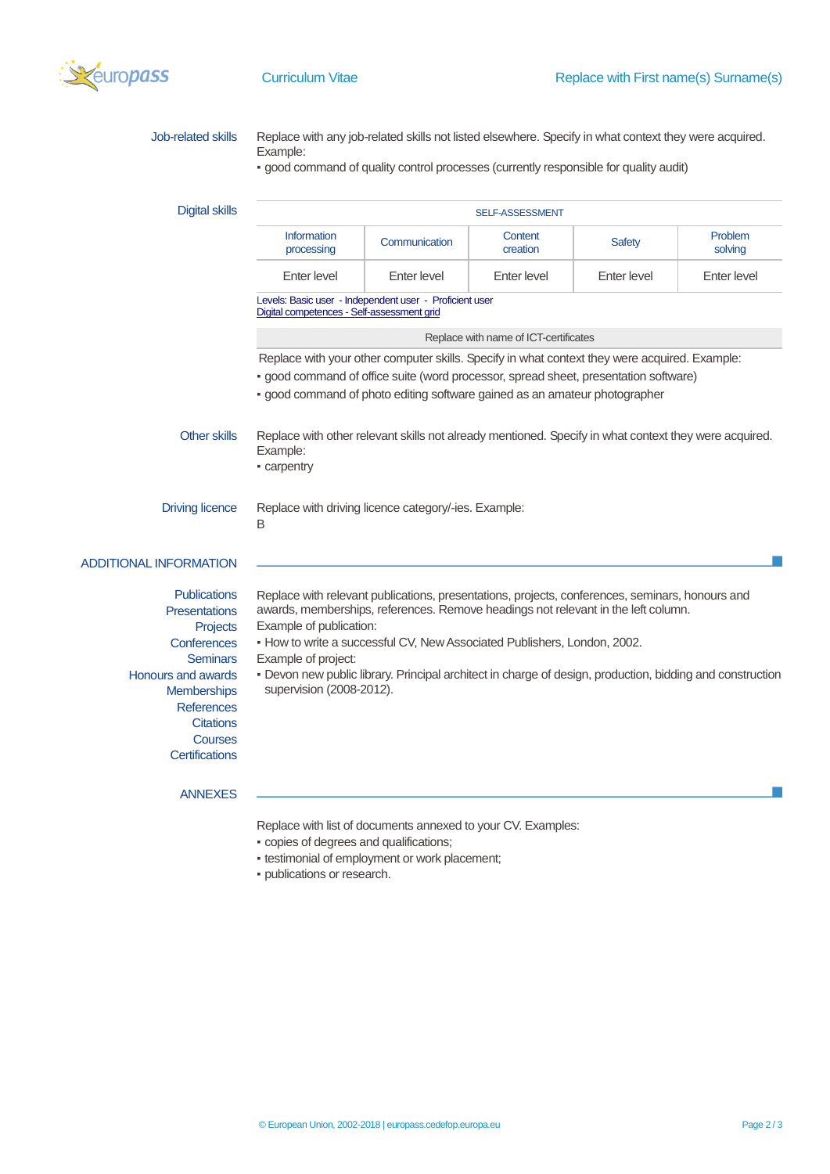

| <b>Job-related skills</b>                   | Replace with any job-related skills not listed elsewhere. Specify in what context they were acquired.<br>Example:                                                                    |                                                                                       |                     |               |                    |  |  |  |
|---------------------------------------------|--------------------------------------------------------------------------------------------------------------------------------------------------------------------------------------|---------------------------------------------------------------------------------------|---------------------|---------------|--------------------|--|--|--|
|                                             |                                                                                                                                                                                      | - good command of quality control processes (currently responsible for quality audit) |                     |               |                    |  |  |  |
| <b>Digital skills</b>                       | SELF-ASSESSMENT                                                                                                                                                                      |                                                                                       |                     |               |                    |  |  |  |
|                                             | Information<br>processing                                                                                                                                                            | Communication                                                                         | Content<br>creation | <b>Safety</b> | Problem<br>solving |  |  |  |
|                                             | <b>Enter level</b>                                                                                                                                                                   | Enter level                                                                           | Enter level         | Enter level   | Enter level        |  |  |  |
|                                             | Levels: Basic user - Independent user - Proficient user<br>Digital competences - Self-assessment grid                                                                                |                                                                                       |                     |               |                    |  |  |  |
|                                             | Replace with name of ICT-certificates                                                                                                                                                |                                                                                       |                     |               |                    |  |  |  |
|                                             | Replace with your other computer skills. Specify in what context they were acquired. Example:                                                                                        |                                                                                       |                     |               |                    |  |  |  |
|                                             | · good command of office suite (word processor, spread sheet, presentation software)                                                                                                 |                                                                                       |                     |               |                    |  |  |  |
|                                             | · good command of photo editing software gained as an amateur photographer                                                                                                           |                                                                                       |                     |               |                    |  |  |  |
| <b>Other skills</b>                         | Replace with other relevant skills not already mentioned. Specify in what context they were acquired.<br>Example:<br>- carpentry                                                     |                                                                                       |                     |               |                    |  |  |  |
| <b>Driving licence</b>                      | Replace with driving licence category/-ies. Example:<br>B                                                                                                                            |                                                                                       |                     |               |                    |  |  |  |
| <b>ADDITIONAL INFORMATION</b>               |                                                                                                                                                                                      |                                                                                       |                     |               |                    |  |  |  |
| <b>Publications</b><br><b>Presentations</b> | Replace with relevant publications, presentations, projects, conferences, seminars, honours and<br>awards, memberships, references. Remove headings not relevant in the left column. |                                                                                       |                     |               |                    |  |  |  |
| <b>Projects</b><br><b>Conferences</b>       | Example of publication:<br>- How to write a successful CV, New Associated Publishers, London, 2002.                                                                                  |                                                                                       |                     |               |                    |  |  |  |
| <b>Seminars</b>                             | Example of project:                                                                                                                                                                  |                                                                                       |                     |               |                    |  |  |  |
| Honours and awards                          | - Devon new public library. Principal architect in charge of design, production, bidding and construction                                                                            |                                                                                       |                     |               |                    |  |  |  |
| <b>Memberships</b>                          | supervision (2008-2012).                                                                                                                                                             |                                                                                       |                     |               |                    |  |  |  |
| <b>References</b>                           |                                                                                                                                                                                      |                                                                                       |                     |               |                    |  |  |  |
| <b>Citations</b>                            |                                                                                                                                                                                      |                                                                                       |                     |               |                    |  |  |  |
| <b>Courses</b><br><b>Certifications</b>     |                                                                                                                                                                                      |                                                                                       |                     |               |                    |  |  |  |
| <b>ANNEXES</b>                              |                                                                                                                                                                                      |                                                                                       |                     |               |                    |  |  |  |
|                                             | Replace with list of documents annexed to your CV. Examples:                                                                                                                         |                                                                                       |                     |               |                    |  |  |  |

- copies of degrees and qualifications;
- testimonial of employment or work placement;
- publications or research.